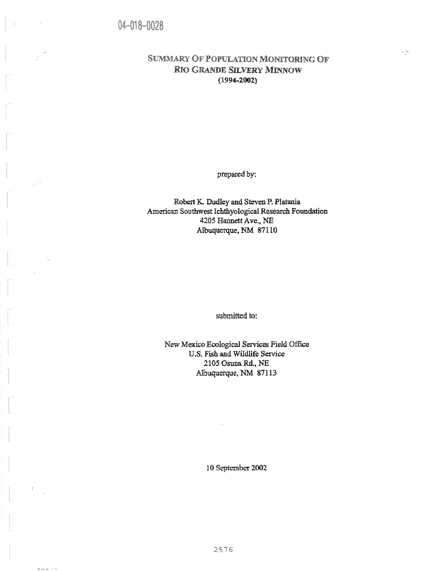$\pm$ 

 $70011$ 

# **SUMMARY OF POPULATION MONITORING OF** RIO GRANDE SILVERY MINNOW (1994-2002)

 $\frac{1}{2}$ 

prepared by:

Robert K. Dudley and Steven P. Platania American Southwest Ichthyological Research Foundation 4205 Hannett Ave., NE Albuquerque, NM 87110

submitted to:

New Mexico Ecological Services Field Office U.S. Fish and Wildlife Service 2105 Osuna Rd., NE Albuquerque, NM 87113

10 September 2002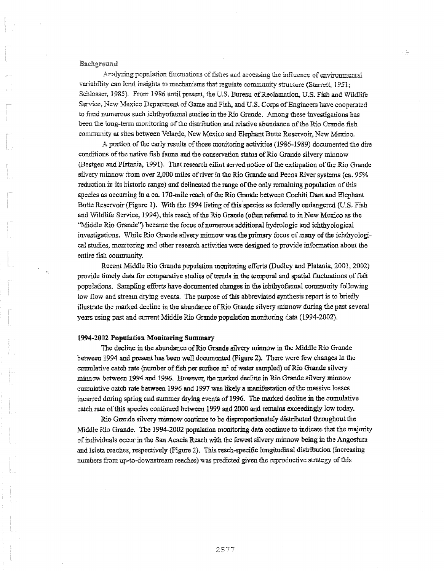## Backgrvand

Analyzing population fluctuations of fishes and accessing the influence of environmental variability can lend insights to mechanisms that regulate community structure (Starrett, l 951; Schlosser, 1985). From 1986 until present, the U.S. Bureau of Reclamation, U.S. Fish and Wildlife Service, New Mexico Department of Game and Fish, and U.S. Corps of Engineers have cooperated to fund numerous such ichthyofaunal studies in the Rio Grande. Among these investigations has been the long-term monitoring of the distribution *and* relative abundance of the Rio Grande fish community at sites between Velarde, New Mexico and Elephant Butte Reservoir, New Mexico.

- 5

A portion of the early results of those monitoring activities (1986-1989) documented the dire conditions *of* the native fish fauna and the conservation status of Rio Grande silvery minnow (Bestgen and Platania, 1991). That research effuit served notice of the extirpation of the Rio Grande silvery minnow from over 2,000 miles of river in the Rio Grande and Pecos River systems (ca. 95% reduction in its historic range) and delineated the range of the only remaining population of this species as occurring in a ca. 170-mile reach of the Rio Grande between Cochiti Dam and Elephant Butte Reservoir (Figure 1). With the 1994 listing of this species as federally endangered (U.S. Fish and 'Wildlife Service, 1994), this reach of the Rio Grande (often referred to in New Mexico as the "Middle Rio Grande") became the focus of numerous additional hydrologic and ichthyological investigations. While Rio Grande silvery minnow was the primary focus of many of the ichthyological studies, monitoring and other research activities were designed to provide information about the entire fish commu

Recent Middle Rio Grande population monitoring efforts (Dudley and Platania, 2001, 2002) provide timely data for comparative studies of trends in the temporal and spatial fluctuations of fish populations. Sampling efforts have documented changes in the ichthyofaunal community following low flow and stream drying events. The purpose of this abbreviated synthesis report is to briefly illustrate the marked decline in the abundance of Rio Grande silvery minnow during the past several years using past and current Middle Rio Grande population monitoring data (1994-2002).

#### 1994-2002 Population Monitoring Summary

The decline in the abundance of Rio Grande silvery minnow in the Middle Rio Grande between 1994 and present has been well documented (Figure 2). There were few changes in the cumulative catch rate (number of fish per surface m<sup>2</sup> of water sampled) of Rio Grande silvery minnow between 1994 and 1996. However, the marked decline in Rio Grande silvery minnow cumulative catch rate between 1996 and 1997 was likely a manifestation of the massive losses incurred during spring and summer drying events of 1996. The marked decline in the cumulative catch rate of this species continued between 1999 and 2000 and remains exceedingly law today.

Rio Grande silvery minnow continue to be disproportionately distributed throughout the Middle Rio Grande. The 1994-2002 population monitoring data continue to indicate that the majority of individuals ocir in the San Acacia Reach with the fewest silvery minnow being in the Angostura and Isieta reaches, respectively (Figure 2). This reach-specific longitudinal distribution (increasing numbers from up-to-downstream reaches) was predicted given the reproductive strategy of this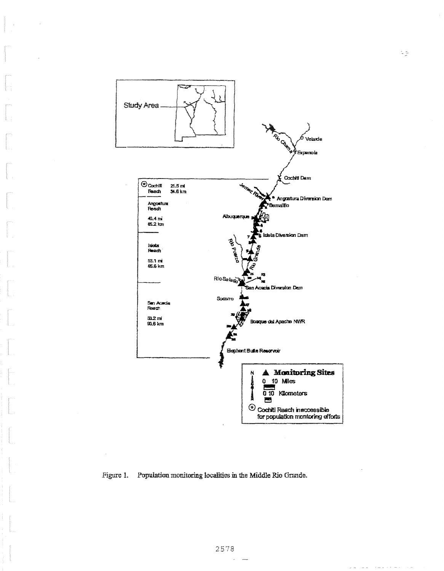

# Figure 1. Population monitoring localities in the Middle Rio Grande.

 $\lambda$  and  $\lambda$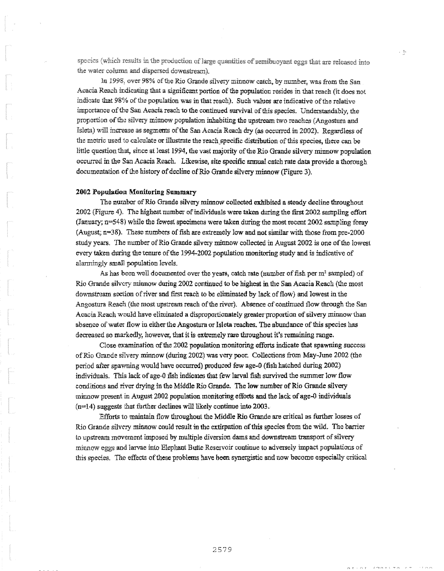species (which results in the production of large quantities of semibuoyant eggs that are released into the water column and dispersed downstream).

in 1998, over 98% of the Rio Grande silvery minnow catch, by number, was from the San Acacia Reach indicating that a significant portion of the population resides in that reach (it does not indicate that 98% of the population was in that reach). Such values are indicative of the relative importance of the San Acacia reach to the continued survival of this species. Understandably, the proportion of the silvery minnow population inhabiting the upstream two reaches (Angostura and Isleta) will increase as segments of the San Acacia Reach dry **(as** occurred in 2002). Regardless of the metric used to calculate or illustrate the reach specific distribution of this species, there can be little question that, since at least 1994, the vast majority of the Rio Grande silvery minnow population occurred in the San Acacia Reach. Likewise, site specific annual catch rate data provide a thorough documentation of the history of decline of Rio Grande silvery minnow (Figure 3).

#### **201i2 Population Monitoring Summary**

The number of Rio Grande silvery minnow collected exhibited a steady decline throughout 2002 (Figure 4). The highest number of individuals were taken during the first 2002 sampling effort (January; n=548) while the fewest specimens were taken during the most recent 2002 sampling foray (August; n=38). These numbers of fish are extremely low and not similar with those from pre-2000 study years. The number of Rio Grande silvery minnow collected in August 2002 is one of the lowest every taken during the tenure of the 1994-2002 population monitoring study and is indicative of alarmingly small population levels.

As has been well documented over the years, catch rate (number of fish per  $m<sup>2</sup>$  sampled) of Rio Grande silvery minnow during 2002 continued to be highest in the San Acacia Reach (the most downstream section of river and first reach to be eliminated by lack of flow) and lowest in the Angostura Reach (the most upstream reach of the river). Absence of continued flow through the San Acacia Reach would have eliminated a disproportionately greater proportion of silvery minnow than absence of water flow in either the Angostura or Isleta reaches. The abundance of this species has decreased so markedly, however, that it is extremely rare throughout it's remaining range.

Close examination of the 2002 population monitoring efforts indicate that spawning success of Rio Grande silvery minnow (during 2002) was very poor. Collections from May-June 2002 (the period after spawning would have occurred) produced few age-0 (fish hatched during 2002) individuals. This lack of age-0 fish indicates that few larval fish survived the summer low flow conditions and river drying in the Middle Rio Grande. The low number of Rio Grande silvery minnow present in August 2002 population monitoring efforts **and the** lack of age-0 individuals (n=14) suggests that further declines will likely continue into 2003.

Efforts to maintain flow throughout the Middle Rio Grande are critical as further losses of Rio Grande silvery minnow could result in the extirpation of this species from the wild. The barrier to upstream movement imposed by multiple diversion dams and downstream transport of silvery minnow eggs and larvae into Elephant Butte Reservoir continue to adversely impact populations of this species. The effects of these problems have been synergistic and now become especially critical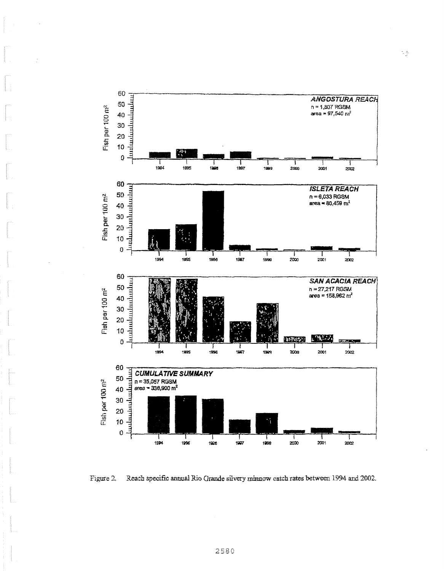

Figure 2. Reach specific annual Rio Grande silvery minnow catch rates between 1994 and 2002.

 $\frac{1}{2}$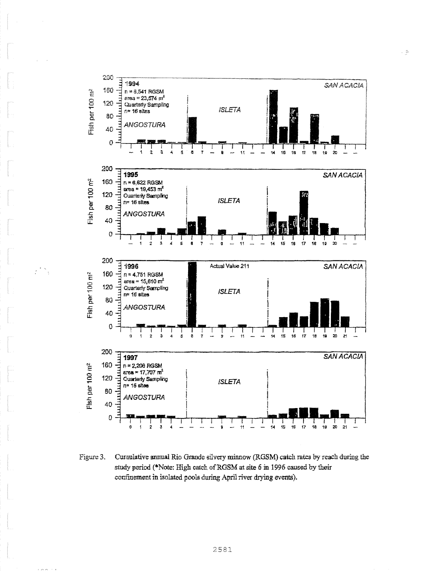

 $\mathcal{F}^{(8)}$ 

 $\epsilon$  is  $\kappa$  .  $\epsilon$  ,  $\epsilon$ 

Cumulative annual Rio Grande silvery minnow (RGSM) catch rates by reach during the Figure 3. study period (\*Note: High catch of RGSM at site 6 in 1996 caused by their confinement in isolated pools during April river drying events).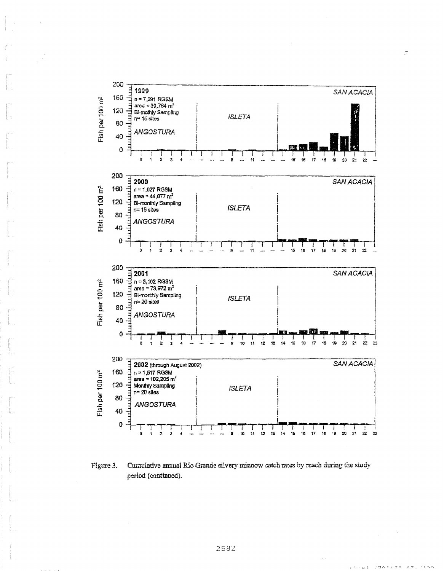

 $\mathbb{C}$ 

Figure 3. Cumulative annual Rio Grande silvery minnow catch rates by reach during the study period (continued).

 $\tau$   $\tau$   $\pm$   $\alpha$   $\tau$ 

 $(501770.67)$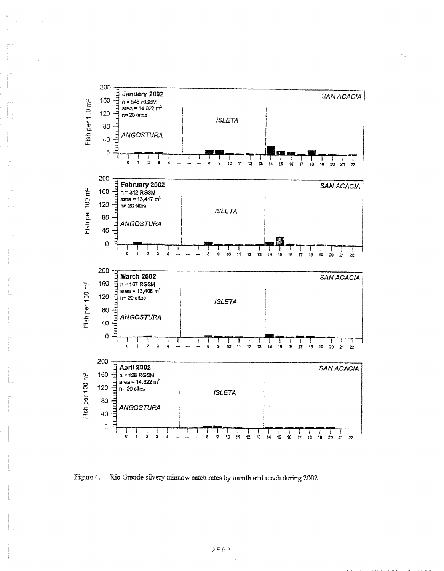

 $\sim \frac{m}{\omega}$ 

Figure 4. Rio Grande silvery minnow catch rates by month and reach during 2002.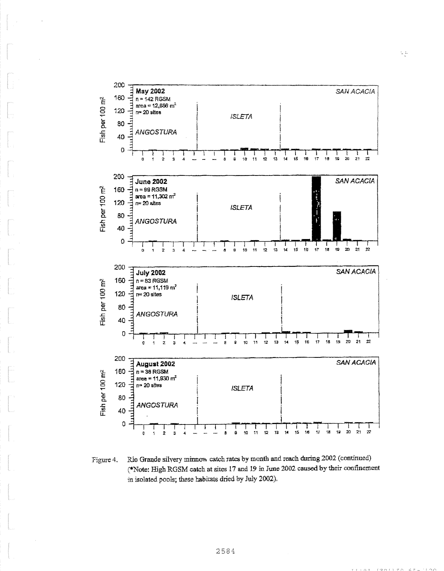

Figure 4. Rio Grande silvery minnov. catch rates by month and reach during 2002 (continued) (\*Note: High RGSM catch at sites 17 and 19 in Time 2002 caused by their confinement in isolated pools; these habitats dried by July 2002).

 $r + \alpha r$  / anti 70  $67 -$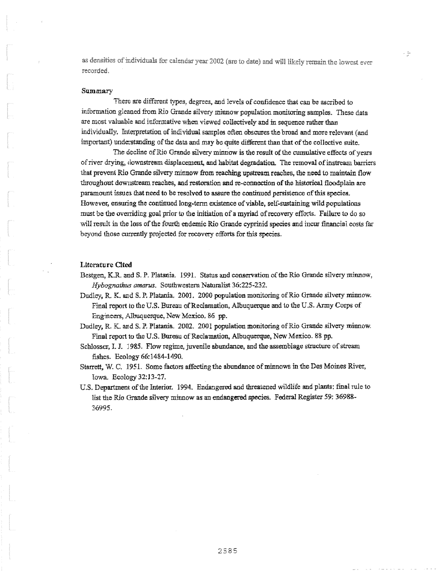as densities of individuals for calendar year 2002 (are to date) and will likely remain the lowest eyer recorded.

#### Summary

There are different types, degrees, and levels of confidence that can be ascribed to information gleaned from Rio Grande silvery minnow population monitoring samples. These data are most valuable and informative when viewed collectively and in sequence rather than individually. Interpretation of individual samples often obscures the broad and more relevant (and important) understanding of the data and may be quite different thanthat of the collective suite.

The decline of Rio Grande silvery minnow is the result of the cumulative effects of years of river drying, downstream displacement, and habitat degradation. The removal of instream barriers that prevent Rio Grande silvery minnow from reaching upstream reaches, the need to maintain flow throughout downstream reaches, and restoration and re-connection of the historical tloodplain are paramount issues that need to be resolved to assure the continued persistence of this species. However, ensuring the continued long-term existence of viable, self-sustaining wild populations must be the overriding goal prior to the initiation of a myriad of recovery efforts. Failure to do so will result in the loss of the fourth endemic Rio Grande cyprinid species and incur financial costs far beyond those currently projected for recovery efforts for this species.

#### Literature Cited

- Bestgen, K.R. and S. P. Platania. 1991. Status and conservation of the Rio Grande silvery minnow, Hybognathus *amarus.* Southwestern Naturalist 36:225-232.
- Dudley, R. K. and S. P. Platania. 2003. 2000 population monitoring of Rio Grande silvery minnow. Final report to the U.S. Bureau of Reclamation, Albuquerque and to the U.S. Army Corps of Engineers, Albuquerque, New Mexico. 86 pp.
- Dudley, R. K. and S. *P.* Platania. 2002. 2001 population monitoring of Rio Grande silvery minnow, Final report to the U.S. Bureau of Reclamation, Albuquerque, New Mexico. 88 pp.
- Schlosser, I. J. 1985. Flow regime, juvenile abundance, and the assemblage structure of stream fishes. Ecology 66:1484-1490.
- Sturett, W. C. 1951. Some factors affecting the abundance of minnows in the Des Moines River, Iowa. Ecology 32:13-27.
- U.S. Department of the Interior. 1994. Endangered and threatened wildlife and plants: final rule to list the Rio Grande silvery minnow as an endangered species. Federal Register 59: 36988- 36995.

ې .<br>د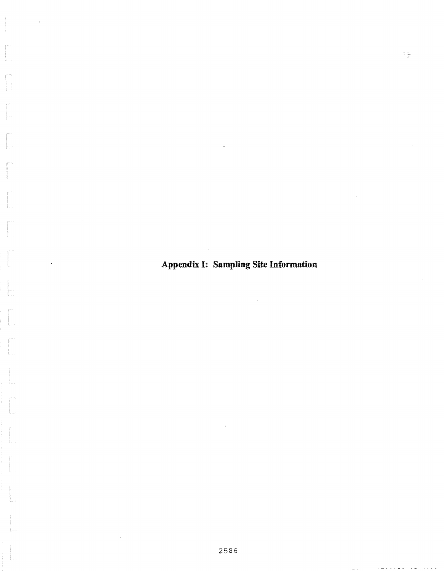**Appendix 1: Sampling Site Information** 

 $z\gtrsim$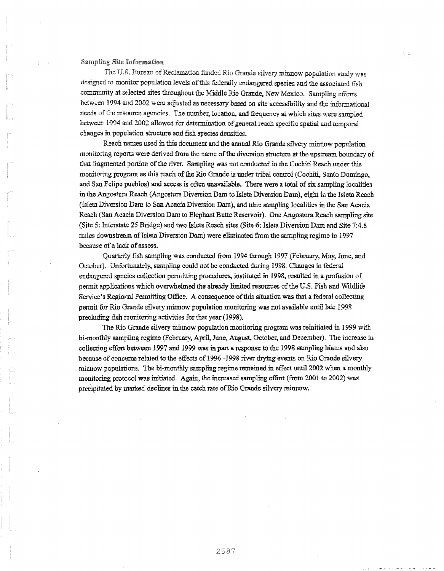## Sampling Site Information

The U.S. Bureau of Reclamation funded Rio Grande silvery minnow population study was designed to monitor population levels of this federally endangered species and the associated fish community at selected sites throughout the Middle Rio Grande, New Mexico. Sampling efforts between 1994 and 2002 were adjusted as necessary based on site accessibility and the informational needs of the resource agencies. The number, location, and frequency at which sites were sampled between 1994 and 2002 allowed for determination of general reach specific spatial and temporal changes in population structure and fish species densities.

Reach names used in this document and the annual Rio Grande silvery minnow population monitoring reports were derived from the name of the diversion structure at the upstream boundary of that fragmented portion of the river. Sampling was not conducted in the Cochiti Reach under this monitoring program as this reach of the Rio Grande is under tribal control (Cochiti, Santo Domingo, and San Felipe pueblos) and access is often unavailable. There were a total of six sampling localities in the Angostura Reach (Angostura Diversion Dam to Isleta Diversion Dam), eight in the Islets Reach (Isleta Diversion Darn to San Acacia Diversion Dam), and nine sampling localities in the San Acacia Reach (San Acacia Diversion Dam to Elephant Butte Reservoir). One Angostura Reach sampling site (Site 5: Interstate 25 Bridge) and two Islets Reach sites (Site 6: Isleta Diversion Dam and Site 7:4.8 miles downstream of Isleta Diversion Dam) were eliminated from the sampling regime in 1997 because of a lack of assess.

Quarterly fish sampling was conducted from 1994 through 1997 (February, May, June, and October). Unfortunately, sampling could not be conducted during 1998. Changes in federal endangered species collection permitting procedures, instituted in 1998, resulted in a profusion of permit applications which overwhelmed the already limited resources of the U.S. Fish and Wildlife Service's Regional Permitting Office. A consequence of this situation was that a federal collecting permit for Rio Grande silvery minnow population monitoring was not available until late 1998 precluding fish monitoring activities for that year (1998).

The Rio Grande silvery minnow population monitoring program was reinitiated in 1999 with bi-monthly sampling regime (Febniary, April, lime, August, October, and December). The increase in collecting effort between 1997 and 1999 was in part a response to the 1998 sampling hiatus and also because of concerns related to the effects of 1996 -1998 river drying events on Rio Grande silvery minnow populations. The hi-monthly sampling regime remained in effect until 2002 when a monthly monitoring protocol was initiated. Again, the increased sampling effort (from 2001 to 2002) was precipitated by marked declines in the catch rate of Rio Grande silvery minnow.

 $\frac{1}{2}$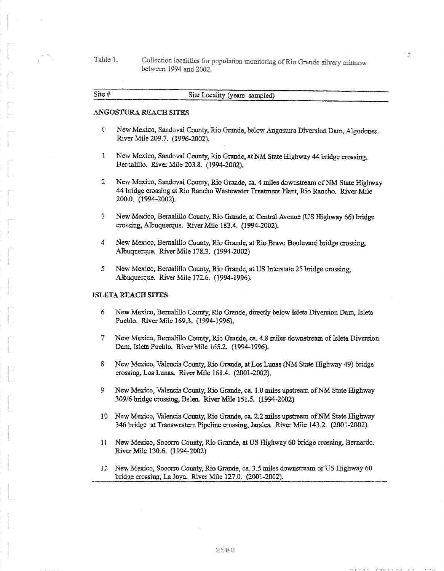Table 1. Collection localities for population monitoring of Rio Grande silvery minnow between 1994 and 2002,

| Site $#$ |                               |  |
|----------|-------------------------------|--|
|          | Site Locality (years sampled) |  |
|          |                               |  |
|          |                               |  |

 $\frac{1}{2}$ 

# ANGOSTURA REACH SITES

- 0 New Mexizo, Sandoval County, Rio Grande, below Angostura Diversion Darn, Algodones. River Mile 209.7. (1996-2002).
- New Mexico, Sandoval County, Rio Grande, at NM State Highway 44 bridge crossing,  $\mathbf{I}$ Bernalillo. River Mile 203.8. (1994-2002).
- $\overline{2}$ New Mexico, Sandoval County, Rio Grande, ca. 4 miles downstream of NM State Highway 44 bridge crossing at Rio Rancho Wastewater Treatment Plant, Rio Rancho. River Mile 200.0. (1994-2002).
- 3 New Mexico, Bernalillo County, Rio Grande, at Central Avenue (US Highway 66) bridge crossing, Albuquerque. River Mile 183.4. (1994-2002).
- 4 New Mexico, Bernalillo County, Rio Grande, at Rio Bravo Boulevard bridge crossing, Albuquerque. River Mile 178.3. (1994-2002)
- 5 New Mexico, Bernalillo County, Rio Grande, at US Interstate 25 bridge crossing, Albuquerque. River Mile 172.6. (1994-1996).

#### **ISLETA REACH SITES**

- 6 New Mexico, Bernalillo County, Rio Grande, directly below Isleta Diversion Darn, Islets Pueblo. River Mile 169.3. (1994-1996).
- 7 New Mexico, Bernalillo County, Rio Grande, ca. 4.8 miles downstream of Isleta Diversion Darn, Islets Pueblo. River Mile 165.2. (1994-1996).
- New Mexico, Valencia County, Rio Grande, at Los Lunas (NM State Highway 49) bridge 8 crossing, Los Lunas. River Mile 161.4. (2001-2002).
- 9. New Mexico, Valencia County, Rio Grande, ca. 1.0 miles upstream of NM State Highway 309/6 bridge crossing, Belen. River Mile 151.5. (1994-2002)
- 10 New Mexico, Valencia County, Rio Grande, ca. 2.2 miles upstream of NM State Highway 346 bridge at Transwestern Pipeline crossing, Jarales. River Mile 143.2. (2001-2002).
- 1I New Mexico, Socorro County, Rio Grande, at US Highway 60 bridge crossing, Bernardo. River Mile 130.6. (1994-2002)
- 12 New Mexico, Socorro County, Rio Grande, ca. 3.5 miles downstream of US Highway 60 bridge crossing, La Jaya. River Mile 127.0. (2001-2002).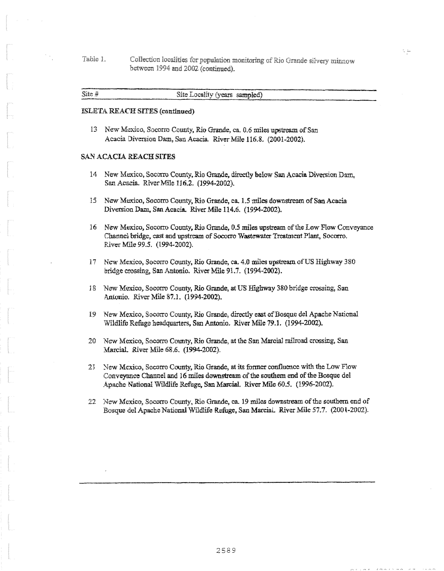Table 1. Collection localities for population monitoring of Rio Grande silvery minnow between 1994 and 2002 (continued).

| Site $#$ | Site Locality (years sampled) |  |
|----------|-------------------------------|--|
|          |                               |  |
|          |                               |  |
|          |                               |  |

#### ISLETA REACH SITES (continued)

13 New Mexico, Socorro County, Rio Grande, ca. 0.6 miles upstream of San Acacia Diversion Dam, San Acacia\_ River Mile 116.8. (2001-2002).

# SAN ACACIA REACH SITES

- 14 New Mexico, Socorro County, Rio Grande, directly below San Acacia Diversion Darn, San Acacia\_ River Mile 116.2. (1994-2002).
- 15 New Mexico, Socorro County, Rio Grande, ca. 1.5 miles downstream of San Acacia Diversion Dam, San Acacia. River Mile 114.6. (1994-2002).
- 16 New Mexico, Socorro County, Rio Grande, 0.5 miles upstream of the Low Flow Conveyance Channel bridge, east and upstream of Socorro Wastewater Treatment Plant, Socorro. River Mile 99.5. (1994-2002).
- 17 New Mexico, Socorro County, Rio Grande, ca. 4.0 miles upstream of US Highway 380 bridge crossing, San Antonio. River Mile 91.7. (1994-2002).
- 18 New Mexico, Socorro County, Rio Grande, at US Highway 380 bridge crossing, San Antonio. River Mile 87.1. (1994-2002).
- 19 New Mexico, Socorro County, Rio Grande, directly east of Bosque del Apache National Wildlife Refuge headquarters, San Antonio. River Mile 79.1. (1994-2002).
- 20 New Mexico, Socorro County, Rio Grande, at the San Marcial railroad crossing, San Marcial. River Mile 68.6. (1994-2002).
- New Mexico, Socorro County, Rio Grande, at its former confluence with the Low Flow Conveyance Channel and 16 *miles* downstream of the southern end of the Bosque del Apache National Wildlife Refuge, San Marcial. River Mile 60.5. (1996-2002).
- 22 New Mexico, Socorro County, Rio Grande, ca. 19 miles downstream of the southern end of Basque del Apache National Wildlife Refuge, San Martial. River Mile 57.7. (2001-2002).